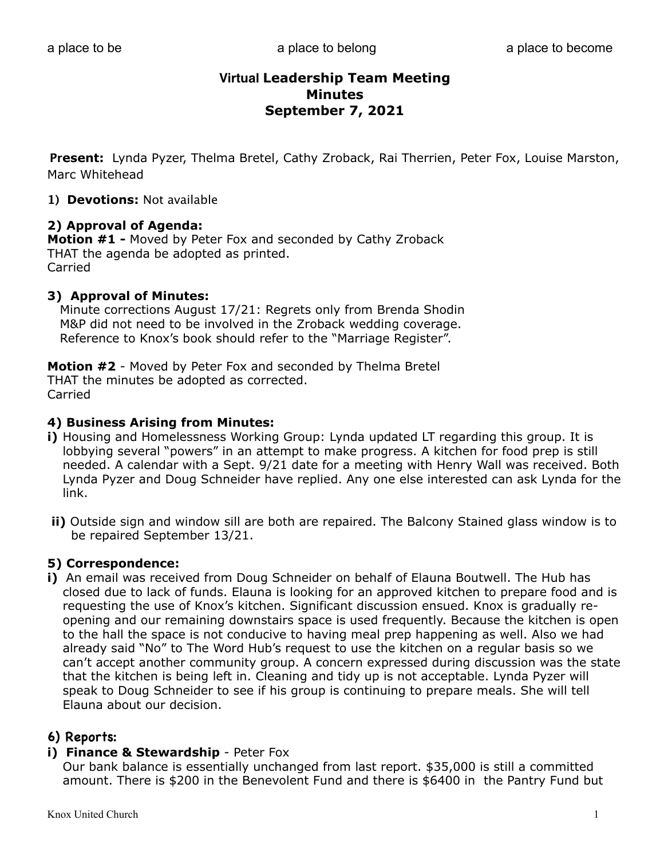**Present:** Lynda Pyzer, Thelma Bretel, Cathy Zroback, Rai Therrien, Peter Fox, Louise Marston, Marc Whitehead

**1) Devotions:** Not available

#### **2) Approval of Agenda:**

**Motion #1 -** Moved by Peter Fox and seconded by Cathy Zroback THAT the agenda be adopted as printed. Carried

#### **3) Approval of Minutes:**

 Minute corrections August 17/21: Regrets only from Brenda Shodin M&P did not need to be involved in the Zroback wedding coverage. Reference to Knox's book should refer to the "Marriage Register".

**Motion #2** - Moved by Peter Fox and seconded by Thelma Bretel THAT the minutes be adopted as corrected. Carried

#### **4) Business Arising from Minutes:**

- **i)** Housing and Homelessness Working Group: Lynda updated LT regarding this group. It is lobbying several "powers" in an attempt to make progress. A kitchen for food prep is still needed. A calendar with a Sept. 9/21 date for a meeting with Henry Wall was received. Both Lynda Pyzer and Doug Schneider have replied. Any one else interested can ask Lynda for the link.
- **ii)** Outside sign and window sill are both are repaired. The Balcony Stained glass window is to be repaired September 13/21.

### **5) Correspondence:**

**i)** An email was received from Doug Schneider on behalf of Elauna Boutwell. The Hub has closed due to lack of funds. Elauna is looking for an approved kitchen to prepare food and is requesting the use of Knox's kitchen. Significant discussion ensued. Knox is gradually re opening and our remaining downstairs space is used frequently. Because the kitchen is open to the hall the space is not conducive to having meal prep happening as well. Also we had already said "No" to The Word Hub's request to use the kitchen on a regular basis so we can't accept another community group. A concern expressed during discussion was the state that the kitchen is being left in. Cleaning and tidy up is not acceptable. Lynda Pyzer will speak to Doug Schneider to see if his group is continuing to prepare meals. She will tell Elauna about our decision.

### **6) Reports:**

#### **i) Finance & Stewardship** - Peter Fox

 Our bank balance is essentially unchanged from last report. \$35,000 is still a committed amount. There is \$200 in the Benevolent Fund and there is \$6400 in the Pantry Fund but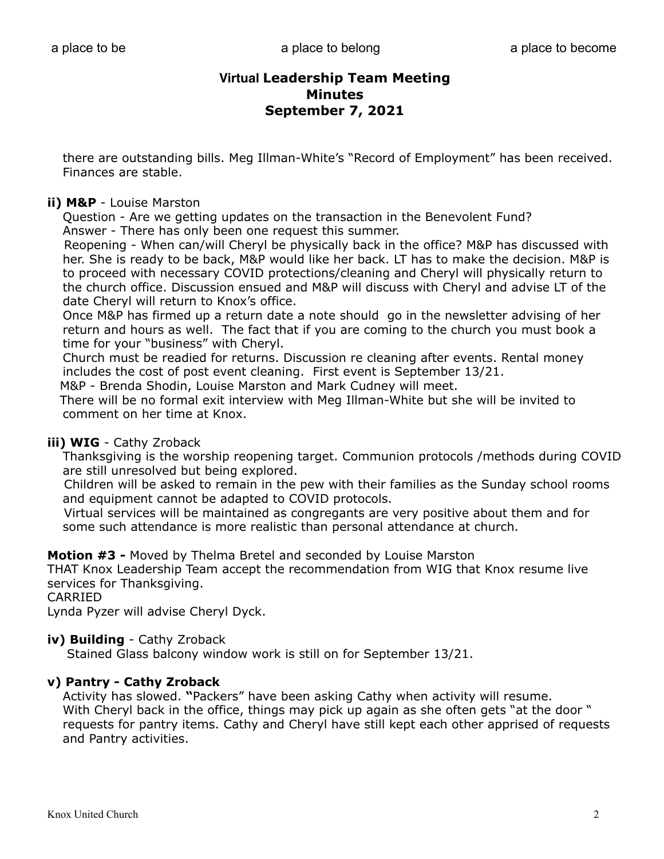there are outstanding bills. Meg Illman-White's "Record of Employment" has been received. Finances are stable.

### **ii) M&P** - Louise Marston

 Question - Are we getting updates on the transaction in the Benevolent Fund? Answer - There has only been one request this summer.

 Reopening - When can/will Cheryl be physically back in the office? M&P has discussed with her. She is ready to be back, M&P would like her back. LT has to make the decision. M&P is to proceed with necessary COVID protections/cleaning and Cheryl will physically return to the church office. Discussion ensued and M&P will discuss with Cheryl and advise LT of the date Cheryl will return to Knox's office.

 Once M&P has firmed up a return date a note should go in the newsletter advising of her return and hours as well. The fact that if you are coming to the church you must book a time for your "business" with Cheryl.

 Church must be readied for returns. Discussion re cleaning after events. Rental money includes the cost of post event cleaning. First event is September 13/21.

M&P - Brenda Shodin, Louise Marston and Mark Cudney will meet.

 There will be no formal exit interview with Meg Illman-White but she will be invited to comment on her time at Knox.

## **iii) WIG** - Cathy Zroback

 Thanksgiving is the worship reopening target. Communion protocols /methods during COVID are still unresolved but being explored.

 Children will be asked to remain in the pew with their families as the Sunday school rooms and equipment cannot be adapted to COVID protocols.

 Virtual services will be maintained as congregants are very positive about them and for some such attendance is more realistic than personal attendance at church.

**Motion #3 -** Moved by Thelma Bretel and seconded by Louise Marston

THAT Knox Leadership Team accept the recommendation from WIG that Knox resume live services for Thanksgiving.

CARRIED

Lynda Pyzer will advise Cheryl Dyck.

### **iv) Building** - Cathy Zroback

Stained Glass balcony window work is still on for September 13/21.

## **v) Pantry - Cathy Zroback**

 Activity has slowed. **"**Packers" have been asking Cathy when activity will resume. With Cheryl back in the office, things may pick up again as she often gets "at the door " requests for pantry items. Cathy and Cheryl have still kept each other apprised of requests and Pantry activities.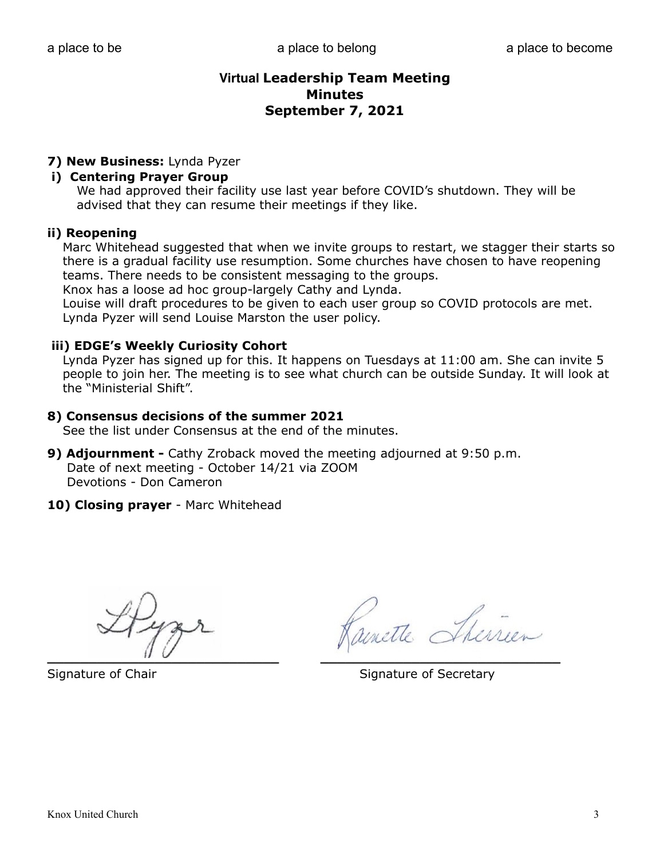## **7) New Business:** Lynda Pyzer

### **i) Centering Prayer Group**

We had approved their facility use last year before COVID's shutdown. They will be advised that they can resume their meetings if they like.

#### **ii) Reopening**

Marc Whitehead suggested that when we invite groups to restart, we stagger their starts so there is a gradual facility use resumption. Some churches have chosen to have reopening teams. There needs to be consistent messaging to the groups.

Knox has a loose ad hoc group-largely Cathy and Lynda.

 Louise will draft procedures to be given to each user group so COVID protocols are met. Lynda Pyzer will send Louise Marston the user policy.

### **iii) EDGE's Weekly Curiosity Cohort**

Lynda Pyzer has signed up for this. It happens on Tuesdays at 11:00 am. She can invite 5 people to join her. The meeting is to see what church can be outside Sunday. It will look at the "Ministerial Shift".

#### **8) Consensus decisions of the summer 2021**

See the list under Consensus at the end of the minutes.

- **9) Adjournment** Cathy Zroback moved the meeting adjourned at 9:50 p.m. Date of next meeting - October 14/21 via ZOOM Devotions - Don Cameron
- **10) Closing prayer** Marc Whitehead

 $\mathcal{U}$   $\vee$ 

unette Ther

Signature of Chair Signature of Secretary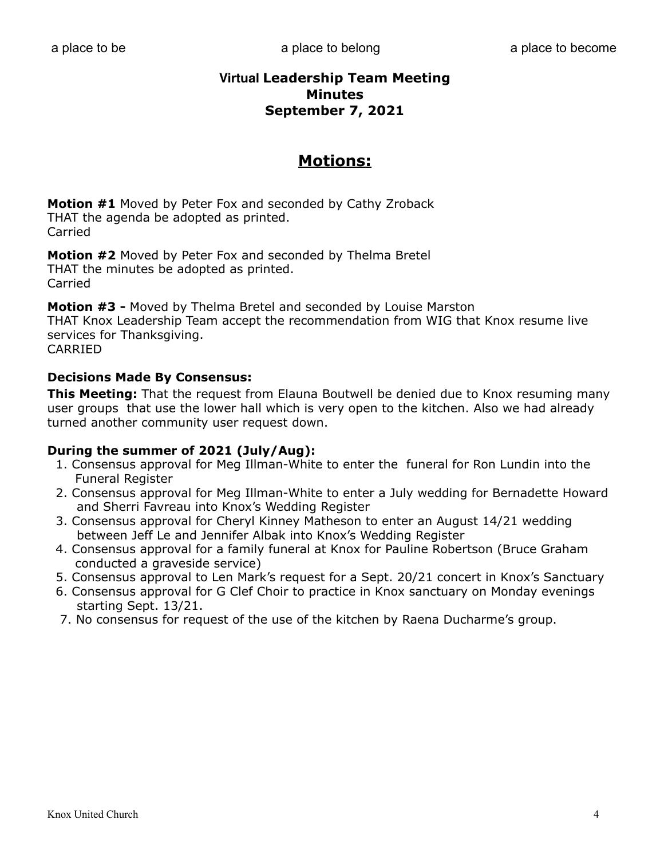# **Motions:**

**Motion #1** Moved by Peter Fox and seconded by Cathy Zroback THAT the agenda be adopted as printed. Carried

**Motion #2** Moved by Peter Fox and seconded by Thelma Bretel THAT the minutes be adopted as printed. Carried

**Motion #3 -** Moved by Thelma Bretel and seconded by Louise Marston THAT Knox Leadership Team accept the recommendation from WIG that Knox resume live services for Thanksgiving. CARRIED

## **Decisions Made By Consensus:**

**This Meeting:** That the request from Elauna Boutwell be denied due to Knox resuming many user groups that use the lower hall which is very open to the kitchen. Also we had already turned another community user request down.

## **During the summer of 2021 (July/Aug):**

- 1. Consensus approval for Meg Illman-White to enter the funeral for Ron Lundin into the Funeral Register
- 2. Consensus approval for Meg Illman-White to enter a July wedding for Bernadette Howard and Sherri Favreau into Knox's Wedding Register
- 3. Consensus approval for Cheryl Kinney Matheson to enter an August 14/21 wedding between Jeff Le and Jennifer Albak into Knox's Wedding Register
- 4. Consensus approval for a family funeral at Knox for Pauline Robertson (Bruce Graham conducted a graveside service)
- 5. Consensus approval to Len Mark's request for a Sept. 20/21 concert in Knox's Sanctuary
- 6. Consensus approval for G Clef Choir to practice in Knox sanctuary on Monday evenings starting Sept. 13/21.
- 7. No consensus for request of the use of the kitchen by Raena Ducharme's group.